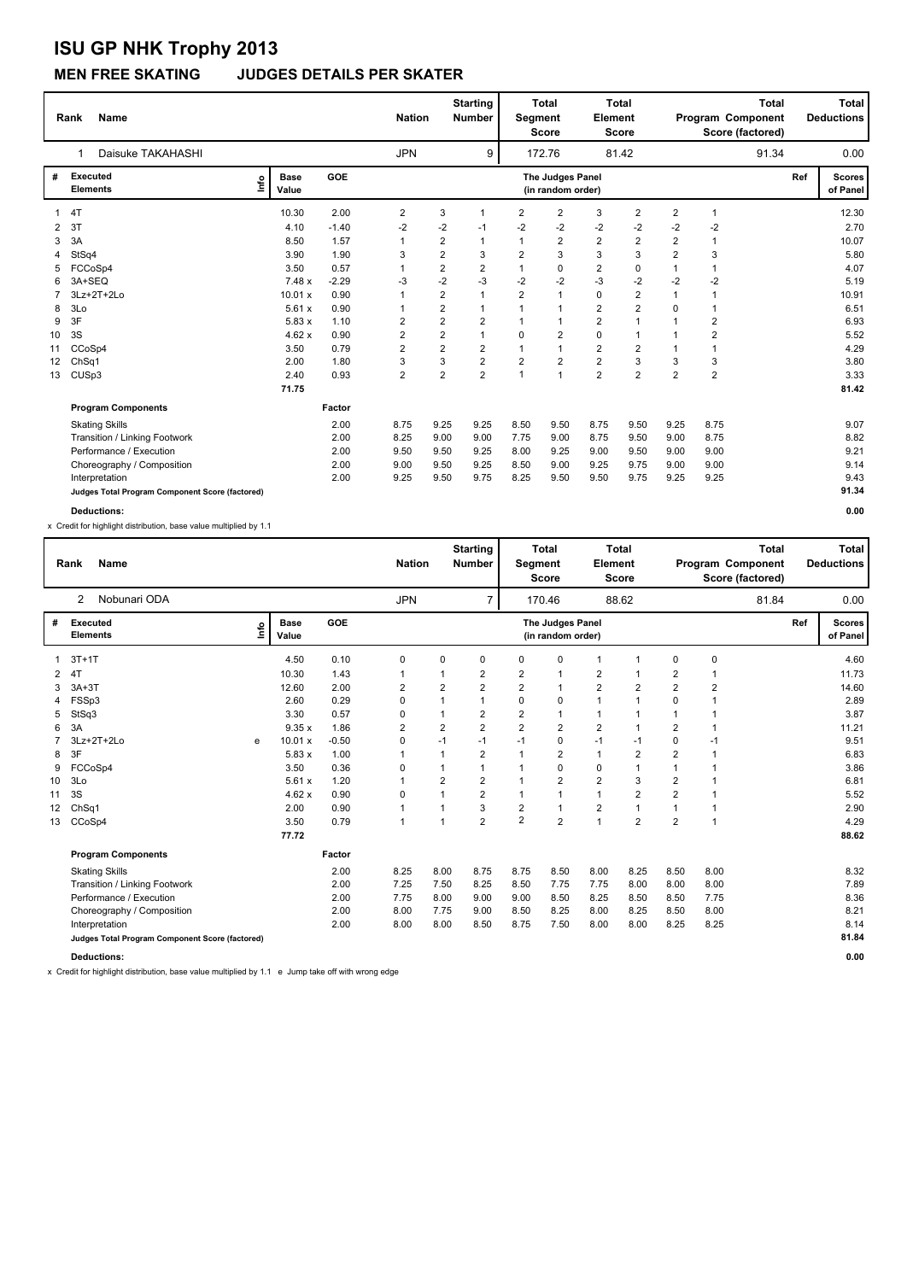### **MEN FREE SKATING JUDGES DETAILS PER SKATER**

|    | <b>Name</b><br>Rank                             |                      |            | <b>Nation</b>  |                         | <b>Starting</b><br><b>Number</b> | Segment        | <b>Total</b><br><b>Score</b>          | Element                 | <b>Total</b><br><b>Score</b> |                | Program Component<br>Score (factored) | <b>Total</b> |     | Total<br><b>Deductions</b> |
|----|-------------------------------------------------|----------------------|------------|----------------|-------------------------|----------------------------------|----------------|---------------------------------------|-------------------------|------------------------------|----------------|---------------------------------------|--------------|-----|----------------------------|
|    | Daisuke TAKAHASHI                               |                      |            | <b>JPN</b>     |                         | 9                                |                | 172.76                                |                         | 81.42                        |                |                                       | 91.34        |     | 0.00                       |
| #  | <b>Executed</b><br>١nf٥<br><b>Elements</b>      | <b>Base</b><br>Value | <b>GOE</b> |                |                         |                                  |                | The Judges Panel<br>(in random order) |                         |                              |                |                                       |              | Ref | <b>Scores</b><br>of Panel  |
|    | 4T                                              | 10.30                | 2.00       | 2              | 3                       | 1                                | 2              | $\overline{2}$                        | 3                       | 2                            | 2              | 1                                     |              |     | 12.30                      |
| 2  | 3T                                              | 4.10                 | $-1.40$    | $-2$           | $-2$                    | -1                               | $-2$           | $-2$                                  | $-2$                    | $-2$                         | $-2$           | $-2$                                  |              |     | 2.70                       |
| 3  | 3A                                              | 8.50                 | 1.57       | 1              | $\overline{\mathbf{c}}$ |                                  | 1              | 2                                     | $\overline{\mathbf{c}}$ | 2                            | 2              |                                       |              |     | 10.07                      |
| 4  | StSq4                                           | 3.90                 | 1.90       | 3              | $\overline{2}$          | 3                                | $\overline{2}$ | 3                                     | 3                       | 3                            | $\overline{2}$ | 3                                     |              |     | 5.80                       |
| 5  | FCCoSp4                                         | 3.50                 | 0.57       | $\mathbf{1}$   | $\overline{\mathbf{c}}$ | $\overline{2}$                   | $\mathbf{1}$   | $\Omega$                              | 2                       | 0                            | $\mathbf{1}$   | 1                                     |              |     | 4.07                       |
| 6  | 3A+SEQ                                          | 7.48 x               | $-2.29$    | -3             | $-2$                    | $-3$                             | $-2$           | $-2$                                  | $-3$                    | $-2$                         | $-2$           | $-2$                                  |              |     | 5.19                       |
|    | 3Lz+2T+2Lo                                      | 10.01 x              | 0.90       | 1              | $\overline{2}$          | $\overline{1}$                   | $\overline{2}$ | $\overline{1}$                        | 0                       | $\overline{2}$               | $\mathbf{1}$   | 1                                     |              |     | 10.91                      |
| 8  | 3Lo                                             | 5.61x                | 0.90       | 1              | $\overline{\mathbf{c}}$ | $\overline{1}$                   | 1              | $\mathbf{1}$                          | 2                       | $\overline{2}$               | 0              |                                       |              |     | 6.51                       |
| 9  | 3F                                              | 5.83x                | 1.10       | $\overline{2}$ | $\overline{2}$          | $\overline{2}$                   |                | $\mathbf{1}$                          | $\overline{2}$          | $\mathbf{1}$                 | $\mathbf 1$    | $\overline{2}$                        |              |     | 6.93                       |
| 10 | 3S                                              | 4.62x                | 0.90       | $\overline{2}$ | $\overline{\mathbf{c}}$ | $\overline{1}$                   | 0              | $\overline{2}$                        | 0                       | 1                            | 1              | 2                                     |              |     | 5.52                       |
| 11 | CCoSp4                                          | 3.50                 | 0.79       | $\overline{2}$ | $\overline{2}$          | $\overline{2}$                   | 1              | 1                                     | $\overline{\mathbf{c}}$ | $\overline{\mathbf{c}}$      | $\mathbf{1}$   | 1                                     |              |     | 4.29                       |
| 12 | ChSq1                                           | 2.00                 | 1.80       | 3              | 3                       | $\mathbf 2$                      | $\overline{2}$ | $\overline{2}$                        | $\overline{\mathbf{c}}$ | 3                            | 3              | 3                                     |              |     | 3.80                       |
| 13 | CUS <sub>p3</sub>                               | 2.40                 | 0.93       | $\overline{2}$ | $\overline{2}$          | $\overline{2}$                   | 1              | $\overline{1}$                        | $\overline{2}$          | $\overline{2}$               | $\overline{2}$ | $\overline{2}$                        |              |     | 3.33                       |
|    |                                                 | 71.75                |            |                |                         |                                  |                |                                       |                         |                              |                |                                       |              |     | 81.42                      |
|    | <b>Program Components</b>                       |                      | Factor     |                |                         |                                  |                |                                       |                         |                              |                |                                       |              |     |                            |
|    | <b>Skating Skills</b>                           |                      | 2.00       | 8.75           | 9.25                    | 9.25                             | 8.50           | 9.50                                  | 8.75                    | 9.50                         | 9.25           | 8.75                                  |              |     | 9.07                       |
|    | Transition / Linking Footwork                   |                      | 2.00       | 8.25           | 9.00                    | 9.00                             | 7.75           | 9.00                                  | 8.75                    | 9.50                         | 9.00           | 8.75                                  |              |     | 8.82                       |
|    | Performance / Execution                         |                      | 2.00       | 9.50           | 9.50                    | 9.25                             | 8.00           | 9.25                                  | 9.00                    | 9.50                         | 9.00           | 9.00                                  |              |     | 9.21                       |
|    | Choreography / Composition                      |                      | 2.00       | 9.00           | 9.50                    | 9.25                             | 8.50           | 9.00                                  | 9.25                    | 9.75                         | 9.00           | 9.00                                  |              |     | 9.14                       |
|    | Interpretation                                  |                      | 2.00       | 9.25           | 9.50                    | 9.75                             | 8.25           | 9.50                                  | 9.50                    | 9.75                         | 9.25           | 9.25                                  |              |     | 9.43                       |
|    | Judges Total Program Component Score (factored) |                      |            |                |                         |                                  |                |                                       |                         |                              |                |                                       |              |     | 91.34                      |
|    | Deductions:                                     |                      |            |                |                         |                                  |                |                                       |                         |                              |                |                                       |              |     | 0.00                       |

x Credit for highlight distribution, base value multiplied by 1.1

|    | <b>Name</b><br>Rank                             |      |                      |         | <b>Nation</b>           |                | <b>Starting</b><br><b>Number</b> | Segment        | <b>Total</b><br>Score                 | Element        | <b>Total</b><br>Score   |                | Program Component<br>Score (factored) | <b>Total</b> |     | <b>Total</b><br><b>Deductions</b> |
|----|-------------------------------------------------|------|----------------------|---------|-------------------------|----------------|----------------------------------|----------------|---------------------------------------|----------------|-------------------------|----------------|---------------------------------------|--------------|-----|-----------------------------------|
|    | Nobunari ODA<br>2                               |      |                      |         | <b>JPN</b>              |                | $\overline{7}$                   |                | 170.46                                |                | 88.62                   |                |                                       | 81.84        |     | 0.00                              |
| #  | <b>Executed</b><br><b>Elements</b>              | ١nfo | <b>Base</b><br>Value | GOE     |                         |                |                                  |                | The Judges Panel<br>(in random order) |                |                         |                |                                       |              | Ref | <b>Scores</b><br>of Panel         |
|    | $3T+1T$                                         |      | 4.50                 | 0.10    | 0                       | 0              | $\Omega$                         | $\Omega$       | $\mathbf 0$                           | $\overline{1}$ |                         | $\mathbf 0$    | $\mathbf 0$                           |              |     | 4.60                              |
|    | 4T                                              |      | 10.30                | 1.43    |                         |                | $\overline{2}$                   | $\overline{2}$ | $\overline{1}$                        | $\overline{2}$ |                         | $\overline{2}$ | 1                                     |              |     | 11.73                             |
| 3  | $3A+3T$                                         |      | 12.60                | 2.00    | $\overline{\mathbf{c}}$ | $\overline{2}$ | $\overline{2}$                   | $\overline{2}$ | $\mathbf{1}$                          | $\overline{2}$ | $\overline{\mathbf{c}}$ | $\overline{2}$ | $\overline{2}$                        |              |     | 14.60                             |
| 4  | FSSp3                                           |      | 2.60                 | 0.29    | 0                       |                | $\mathbf 1$                      | $\Omega$       | 0                                     | $\overline{1}$ | 1                       | $\Omega$       | 1                                     |              |     | 2.89                              |
| 5  | StSq3                                           |      | 3.30                 | 0.57    | 0                       |                | $\overline{2}$                   | $\overline{2}$ | $\mathbf{1}$                          | $\mathbf{1}$   |                         |                |                                       |              |     | 3.87                              |
| 6  | 3A                                              |      | 9.35x                | 1.86    | 2                       | $\overline{2}$ | $\overline{2}$                   | $\overline{2}$ | $\overline{2}$                        | $\overline{2}$ | 1                       | $\overline{2}$ | -1                                    |              |     | 11.21                             |
|    | 3Lz+2T+2Lo                                      | e    | 10.01 x              | $-0.50$ | 0                       | $-1$           | $-1$                             | $-1$           | 0                                     | $-1$           | $-1$                    | $\mathbf 0$    | $-1$                                  |              |     | 9.51                              |
| 8  | 3F                                              |      | 5.83 x               | 1.00    | 1                       | 1              | $\overline{2}$                   | $\mathbf{1}$   | $\overline{2}$                        | $\mathbf{1}$   | $\overline{2}$          | $\overline{2}$ | $\overline{1}$                        |              |     | 6.83                              |
| 9  | FCCoSp4                                         |      | 3.50                 | 0.36    | 0                       |                | 1                                | -1             | 0                                     | 0              | 1                       | 1              |                                       |              |     | 3.86                              |
| 10 | 3Lo                                             |      | 5.61x                | 1.20    | 1                       | $\overline{2}$ | $\overline{2}$                   | -1             | $\overline{2}$                        | $\overline{2}$ | 3                       | $\overline{2}$ | $\overline{1}$                        |              |     | 6.81                              |
| 11 | 3S                                              |      | 4.62x                | 0.90    | 0                       | 1              | 2                                | $\mathbf{1}$   | $\mathbf{1}$                          | $\mathbf{1}$   | 2                       | $\overline{2}$ | $\overline{1}$                        |              |     | 5.52                              |
| 12 | Ch <sub>Sq1</sub>                               |      | 2.00                 | 0.90    | 1                       |                | 3                                | $\overline{2}$ | $\mathbf{1}$                          | $\overline{2}$ | $\overline{1}$          |                | 1                                     |              |     | 2.90                              |
| 13 | CCoSp4                                          |      | 3.50                 | 0.79    | 1                       |                | $\overline{2}$                   | $\overline{2}$ | $\overline{2}$                        | $\overline{1}$ | $\overline{2}$          | $\overline{2}$ | $\overline{1}$                        |              |     | 4.29                              |
|    |                                                 |      | 77.72                |         |                         |                |                                  |                |                                       |                |                         |                |                                       |              |     | 88.62                             |
|    | <b>Program Components</b>                       |      |                      | Factor  |                         |                |                                  |                |                                       |                |                         |                |                                       |              |     |                                   |
|    | <b>Skating Skills</b>                           |      |                      | 2.00    | 8.25                    | 8.00           | 8.75                             | 8.75           | 8.50                                  | 8.00           | 8.25                    | 8.50           | 8.00                                  |              |     | 8.32                              |
|    | Transition / Linking Footwork                   |      |                      | 2.00    | 7.25                    | 7.50           | 8.25                             | 8.50           | 7.75                                  | 7.75           | 8.00                    | 8.00           | 8.00                                  |              |     | 7.89                              |
|    | Performance / Execution                         |      |                      | 2.00    | 7.75                    | 8.00           | 9.00                             | 9.00           | 8.50                                  | 8.25           | 8.50                    | 8.50           | 7.75                                  |              |     | 8.36                              |
|    | Choreography / Composition                      |      |                      | 2.00    | 8.00                    | 7.75           | 9.00                             | 8.50           | 8.25                                  | 8.00           | 8.25                    | 8.50           | 8.00                                  |              |     | 8.21                              |
|    | Interpretation                                  |      |                      | 2.00    | 8.00                    | 8.00           | 8.50                             | 8.75           | 7.50                                  | 8.00           | 8.00                    | 8.25           | 8.25                                  |              |     | 8.14                              |
|    | Judges Total Program Component Score (factored) |      |                      |         |                         |                |                                  |                |                                       |                |                         |                |                                       |              |     | 81.84                             |
|    | <b>Deductions:</b>                              |      |                      |         |                         |                |                                  |                |                                       |                |                         |                |                                       |              |     | 0.00                              |

x Credit for highlight distribution, base value multiplied by 1.1 e Jump take off with wrong edge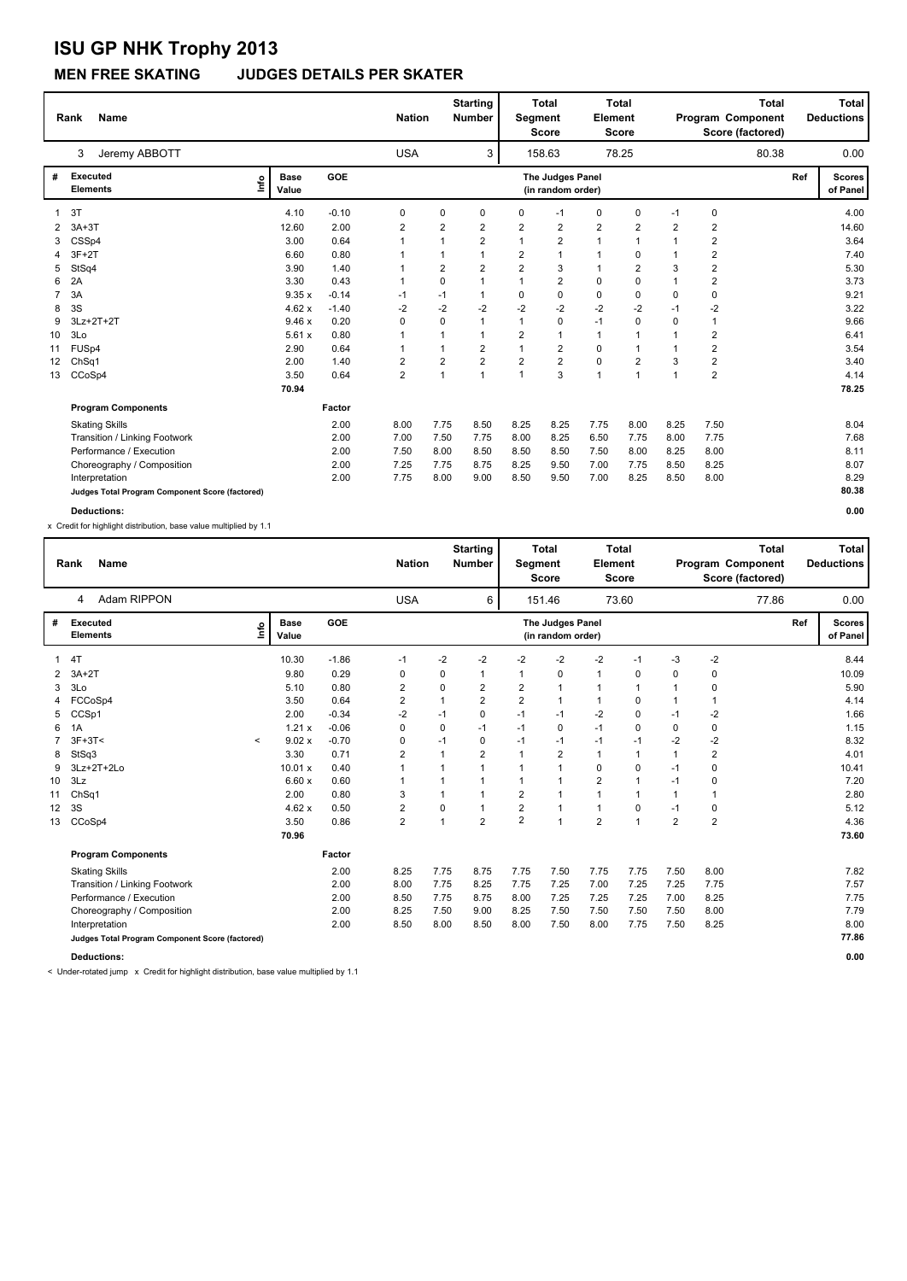#### **MEN FREE SKATING JUDGES DETAILS PER SKATER**

|    | <b>Name</b><br>Rank                             |      |                      |         | <b>Nation</b> |                         | <b>Starting</b><br><b>Number</b> | Segment        | <b>Total</b><br><b>Score</b>          | <b>Element</b> | <b>Total</b><br><b>Score</b> |                | Program Component<br>Score (factored) | <b>Total</b> |     | Total<br><b>Deductions</b> |
|----|-------------------------------------------------|------|----------------------|---------|---------------|-------------------------|----------------------------------|----------------|---------------------------------------|----------------|------------------------------|----------------|---------------------------------------|--------------|-----|----------------------------|
|    | Jeremy ABBOTT<br>3                              |      |                      |         | <b>USA</b>    |                         | 3                                |                | 158.63                                |                | 78.25                        |                |                                       | 80.38        |     | 0.00                       |
| #  | <b>Executed</b><br><b>Elements</b>              | lnfo | <b>Base</b><br>Value | GOE     |               |                         |                                  |                | The Judges Panel<br>(in random order) |                |                              |                |                                       |              | Ref | <b>Scores</b><br>of Panel  |
|    | 3T                                              |      | 4.10                 | $-0.10$ | 0             | 0                       | $\mathbf 0$                      | $\Omega$       | $-1$                                  | 0              | 0                            | $-1$           | 0                                     |              |     | 4.00                       |
| 2  | $3A+3T$                                         |      | 12.60                | 2.00    | 2             | $\overline{\mathbf{c}}$ | $\overline{2}$                   | $\overline{2}$ | $\overline{\mathbf{c}}$               | $\overline{2}$ | $\overline{\mathbf{c}}$      | $\overline{2}$ | $\overline{2}$                        |              |     | 14.60                      |
|    | CSSp4                                           |      | 3.00                 | 0.64    |               | 1                       | $\overline{2}$                   | $\overline{1}$ | $\overline{2}$                        | $\mathbf{1}$   | 1                            | $\mathbf 1$    | 2                                     |              |     | 3.64                       |
|    | $3F+2T$                                         |      | 6.60                 | 0.80    |               | 1                       | $\mathbf{1}$                     | 2              | 1                                     | $\mathbf{1}$   | 0                            | 1              | 2                                     |              |     | 7.40                       |
| 5  | StSq4                                           |      | 3.90                 | 1.40    |               | $\overline{\mathbf{c}}$ | $\overline{2}$                   | $\overline{2}$ | 3                                     | $\mathbf{1}$   | 2                            | 3              | 2                                     |              |     | 5.30                       |
| 6  | 2A                                              |      | 3.30                 | 0.43    |               | 0                       | $\mathbf{1}$                     |                | $\overline{\mathbf{c}}$               | 0              | 0                            | 1              | 2                                     |              |     | 3.73                       |
| 7  | 3A                                              |      | 9.35x                | $-0.14$ | $-1$          | $-1$                    | $\mathbf{1}$                     | 0              | 0                                     | 0              | 0                            | 0              | 0                                     |              |     | 9.21                       |
| 8  | 3S                                              |      | 4.62x                | $-1.40$ | $-2$          | $-2$                    | -2                               | $-2$           | $-2$                                  | $-2$           | $-2$                         | $-1$           | $-2$                                  |              |     | 3.22                       |
| 9  | 3Lz+2T+2T                                       |      | 9.46x                | 0.20    | 0             | 0                       | $\mathbf{1}$                     | $\overline{1}$ | 0                                     | $-1$           | $\Omega$                     | 0              |                                       |              |     | 9.66                       |
| 10 | 3Lo                                             |      | 5.61x                | 0.80    |               | 1                       | $\mathbf{1}$                     | 2              | $\overline{1}$                        | 1              |                              | 1              | $\overline{\mathbf{c}}$               |              |     | 6.41                       |
| 11 | FUS <sub>p4</sub>                               |      | 2.90                 | 0.64    | 1             | 1                       | $\overline{2}$                   | $\overline{1}$ | $\overline{2}$                        | 0              | $\mathbf{1}$                 | 1              | $\overline{2}$                        |              |     | 3.54                       |
| 12 | ChSq1                                           |      | 2.00                 | 1.40    | 2             | $\overline{\mathbf{c}}$ | $\overline{2}$                   | $\overline{2}$ | $\overline{2}$                        | 0              | 2                            | 3              | $\overline{\mathbf{c}}$               |              |     | 3.40                       |
| 13 | CCoSp4                                          |      | 3.50                 | 0.64    | 2             | $\mathbf{1}$            | $\mathbf{1}$                     | $\overline{1}$ | 3                                     | $\overline{1}$ | 1                            | $\mathbf{1}$   | $\overline{\mathbf{c}}$               |              |     | 4.14                       |
|    |                                                 |      | 70.94                |         |               |                         |                                  |                |                                       |                |                              |                |                                       |              |     | 78.25                      |
|    | <b>Program Components</b>                       |      |                      | Factor  |               |                         |                                  |                |                                       |                |                              |                |                                       |              |     |                            |
|    | <b>Skating Skills</b>                           |      |                      | 2.00    | 8.00          | 7.75                    | 8.50                             | 8.25           | 8.25                                  | 7.75           | 8.00                         | 8.25           | 7.50                                  |              |     | 8.04                       |
|    | Transition / Linking Footwork                   |      |                      | 2.00    | 7.00          | 7.50                    | 7.75                             | 8.00           | 8.25                                  | 6.50           | 7.75                         | 8.00           | 7.75                                  |              |     | 7.68                       |
|    | Performance / Execution                         |      |                      | 2.00    | 7.50          | 8.00                    | 8.50                             | 8.50           | 8.50                                  | 7.50           | 8.00                         | 8.25           | 8.00                                  |              |     | 8.11                       |
|    | Choreography / Composition                      |      |                      | 2.00    | 7.25          | 7.75                    | 8.75                             | 8.25           | 9.50                                  | 7.00           | 7.75                         | 8.50           | 8.25                                  |              |     | 8.07                       |
|    | Interpretation                                  |      |                      | 2.00    | 7.75          | 8.00                    | 9.00                             | 8.50           | 9.50                                  | 7.00           | 8.25                         | 8.50           | 8.00                                  |              |     | 8.29                       |
|    | Judges Total Program Component Score (factored) |      |                      |         |               |                         |                                  |                |                                       |                |                              |                |                                       |              |     | 80.38                      |
|    | <b>Deductions:</b>                              |      |                      |         |               |                         |                                  |                |                                       |                |                              |                |                                       |              |     | 0.00                       |

x Credit for highlight distribution, base value multiplied by 1.1

|    | <b>Name</b><br>Rank                             |                          |                      |         | <b>Nation</b>  |              | <b>Starting</b><br><b>Number</b> | Segment        | <b>Total</b><br><b>Score</b>          | Element                 | <b>Total</b><br><b>Score</b> |                |                | <b>Total</b><br>Program Component<br>Score (factored) |     | <b>Total</b><br><b>Deductions</b> |
|----|-------------------------------------------------|--------------------------|----------------------|---------|----------------|--------------|----------------------------------|----------------|---------------------------------------|-------------------------|------------------------------|----------------|----------------|-------------------------------------------------------|-----|-----------------------------------|
|    | Adam RIPPON<br>4                                |                          |                      |         | <b>USA</b>     |              | 6                                |                | 151.46                                |                         | 73.60                        |                |                | 77.86                                                 |     | 0.00                              |
| #  | <b>Executed</b><br><b>Elements</b>              | ١nfo                     | <b>Base</b><br>Value | GOE     |                |              |                                  |                | The Judges Panel<br>(in random order) |                         |                              |                |                |                                                       | Ref | <b>Scores</b><br>of Panel         |
|    | 4T                                              |                          | 10.30                | $-1.86$ | $-1$           | $-2$         | $-2$                             | -2             | $-2$                                  | $-2$                    | $-1$                         | -3             | $-2$           |                                                       |     | 8.44                              |
| 2  | $3A+2T$                                         |                          | 9.80                 | 0.29    | 0              | 0            | 1                                | $\mathbf 1$    | $\mathbf 0$                           | $\mathbf{1}$            | 0                            | $\mathbf 0$    | 0              |                                                       |     | 10.09                             |
| 3  | 3Lo                                             |                          | 5.10                 | 0.80    | 2              | 0            | 2                                | $\overline{2}$ | $\mathbf{1}$                          | $\overline{1}$          | $\mathbf 1$                  | $\mathbf 1$    | 0              |                                                       |     | 5.90                              |
|    | FCCoSp4                                         |                          | 3.50                 | 0.64    | 2              | $\mathbf{1}$ | 2                                | $\overline{2}$ | $\mathbf{1}$                          | $\mathbf{1}$            | 0                            | $\mathbf{1}$   | $\mathbf 1$    |                                                       |     | 4.14                              |
| 5  | CCSp1                                           |                          | 2.00                 | $-0.34$ | $-2$           | $-1$         | 0                                | $-1$           | $-1$                                  | $-2$                    | 0                            | $-1$           | -2             |                                                       |     | 1.66                              |
| 6  | 1A                                              |                          | 1.21x                | $-0.06$ | 0              | 0            | $-1$                             | $-1$           | 0                                     | $-1$                    | 0                            | 0              | 0              |                                                       |     | 1.15                              |
|    | $3F+3T<$                                        | $\overline{\phantom{a}}$ | 9.02 x               | $-0.70$ | 0              | $-1$         | 0                                | $-1$           | $-1$                                  | $-1$                    | $-1$                         | $-2$           | $-2$           |                                                       |     | 8.32                              |
| 8  | StSq3                                           |                          | 3.30                 | 0.71    | 2              | $\mathbf{1}$ | $\overline{2}$                   | $\mathbf{1}$   | $\overline{2}$                        | $\mathbf{1}$            | $\overline{1}$               | $\overline{1}$ | $\overline{2}$ |                                                       |     | 4.01                              |
| 9  | 3Lz+2T+2Lo                                      |                          | 10.01 x              | 0.40    |                | $\mathbf 1$  | $\mathbf{1}$                     | $\mathbf{1}$   | 1                                     | $\mathbf 0$             | 0                            | $-1$           | 0              |                                                       |     | 10.41                             |
| 10 | 3Lz                                             |                          | 6.60x                | 0.60    |                |              |                                  | 1              | $\overline{1}$                        | $\overline{2}$          | 1                            | $-1$           | 0              |                                                       |     | 7.20                              |
| 11 | ChSq1                                           |                          | 2.00                 | 0.80    | 3              | 1            |                                  | $\overline{2}$ | 1                                     | $\overline{1}$          | $\overline{1}$               | $\overline{1}$ | 1              |                                                       |     | 2.80                              |
| 12 | 3S                                              |                          | 4.62x                | 0.50    | 2              | 0            | $\mathbf{1}$                     | $\overline{2}$ | $\mathbf{1}$                          | $\mathbf{1}$            | 0                            | $-1$           | 0              |                                                       |     | 5.12                              |
| 13 | CCoSp4                                          |                          | 3.50                 | 0.86    | $\overline{2}$ | 1            | $\overline{2}$                   | $\overline{2}$ | $\overline{1}$                        | $\overline{\mathbf{c}}$ | 1                            | $\overline{2}$ | $\overline{2}$ |                                                       |     | 4.36                              |
|    |                                                 |                          | 70.96                |         |                |              |                                  |                |                                       |                         |                              |                |                |                                                       |     | 73.60                             |
|    | <b>Program Components</b>                       |                          |                      | Factor  |                |              |                                  |                |                                       |                         |                              |                |                |                                                       |     |                                   |
|    | <b>Skating Skills</b>                           |                          |                      | 2.00    | 8.25           | 7.75         | 8.75                             | 7.75           | 7.50                                  | 7.75                    | 7.75                         | 7.50           | 8.00           |                                                       |     | 7.82                              |
|    | Transition / Linking Footwork                   |                          |                      | 2.00    | 8.00           | 7.75         | 8.25                             | 7.75           | 7.25                                  | 7.00                    | 7.25                         | 7.25           | 7.75           |                                                       |     | 7.57                              |
|    | Performance / Execution                         |                          |                      | 2.00    | 8.50           | 7.75         | 8.75                             | 8.00           | 7.25                                  | 7.25                    | 7.25                         | 7.00           | 8.25           |                                                       |     | 7.75                              |
|    | Choreography / Composition                      |                          |                      | 2.00    | 8.25           | 7.50         | 9.00                             | 8.25           | 7.50                                  | 7.50                    | 7.50                         | 7.50           | 8.00           |                                                       |     | 7.79                              |
|    | Interpretation                                  |                          |                      | 2.00    | 8.50           | 8.00         | 8.50                             | 8.00           | 7.50                                  | 8.00                    | 7.75                         | 7.50           | 8.25           |                                                       |     | 8.00                              |
|    | Judges Total Program Component Score (factored) |                          |                      |         |                |              |                                  |                |                                       |                         |                              |                |                |                                                       |     | 77.86                             |
|    | <b>Deductions:</b>                              |                          |                      |         |                |              |                                  |                |                                       |                         |                              |                |                |                                                       |     | 0.00                              |

< Under-rotated jump x Credit for highlight distribution, base value multiplied by 1.1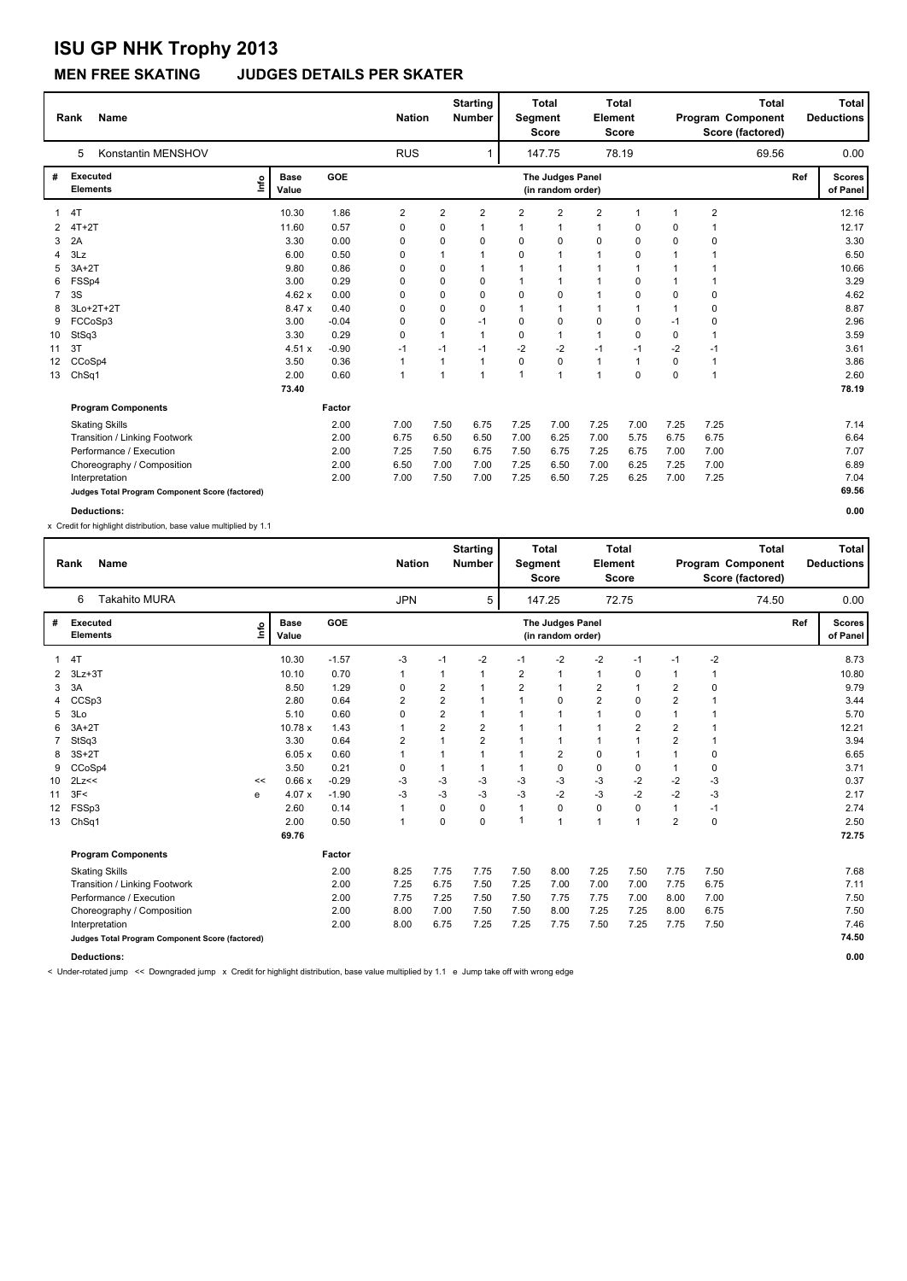### **MEN FREE SKATING JUDGES DETAILS PER SKATER**

|                   | <b>Name</b><br>Rank                             |                      |         | <b>Nation</b> |      | <b>Starting</b><br><b>Number</b> | Segment     | <b>Total</b><br><b>Score</b>          | Element        | <b>Total</b><br><b>Score</b> |             | <b>Total</b><br>Program Component<br>Score (factored) |     | Total<br><b>Deductions</b> |
|-------------------|-------------------------------------------------|----------------------|---------|---------------|------|----------------------------------|-------------|---------------------------------------|----------------|------------------------------|-------------|-------------------------------------------------------|-----|----------------------------|
|                   | Konstantin MENSHOV<br>5                         |                      |         | <b>RUS</b>    |      | 1                                |             | 147.75                                |                | 78.19                        |             | 69.56                                                 |     | 0.00                       |
| #                 | <b>Executed</b><br>١nf٥<br><b>Elements</b>      | <b>Base</b><br>Value | GOE     |               |      |                                  |             | The Judges Panel<br>(in random order) |                |                              |             |                                                       | Ref | <b>Scores</b><br>of Panel  |
|                   | 4T                                              | 10.30                | 1.86    | 2             | 2    | $\overline{2}$                   | 2           | $\overline{2}$                        | 2              |                              | 1           | $\overline{\mathbf{c}}$                               |     | 12.16                      |
|                   | $4T+2T$                                         | 11.60                | 0.57    | 0             | 0    | $\mathbf 1$                      | 1           | 1                                     | 1              | 0                            | 0           | 1                                                     |     | 12.17                      |
| 3                 | 2A                                              | 3.30                 | 0.00    | 0             | 0    | 0                                | $\Omega$    | 0                                     | 0              | 0                            | $\Omega$    | 0                                                     |     | 3.30                       |
| 4                 | 3Lz                                             | 6.00                 | 0.50    | 0             | 1    | 1                                | $\mathbf 0$ | 1                                     | $\mathbf{1}$   | 0                            | 1           | 1                                                     |     | 6.50                       |
|                   | $3A+2T$                                         | 9.80                 | 0.86    | 0             | 0    | $\mathbf 1$                      |             | 1                                     | $\mathbf{1}$   | 1                            | 1           |                                                       |     | 10.66                      |
| 6                 | FSSp4                                           | 3.00                 | 0.29    | 0             | 0    | 0                                |             | 1                                     | 1              | 0                            | 1           |                                                       |     | 3.29                       |
|                   | 3S                                              | 4.62x                | 0.00    | 0             | 0    | $\mathbf 0$                      | $\mathbf 0$ | 0                                     | $\mathbf{1}$   | 0                            | 0           | 0                                                     |     | 4.62                       |
| 8                 | 3Lo+2T+2T                                       | 8.47 x               | 0.40    | 0             | 0    | $\Omega$                         |             | 1                                     | $\mathbf{1}$   |                              | -1          | 0                                                     |     | 8.87                       |
| 9                 | FCCoSp3                                         | 3.00                 | $-0.04$ | 0             | 0    | $-1$                             | $\Omega$    | $\mathbf 0$                           | $\mathbf 0$    | 0                            | $-1$        | 0                                                     |     | 2.96                       |
| 10                | StSq3                                           | 3.30                 | 0.29    | 0             | 1    | $\mathbf{1}$                     | 0           | $\overline{1}$                        | $\mathbf{1}$   | 0                            | 0           |                                                       |     | 3.59                       |
| 11                | 3T                                              | 4.51 x               | $-0.90$ | $-1$          | $-1$ | $-1$                             | $-2$        | $-2$                                  | $-1$           | $-1$                         | $-2$        | $-1$                                                  |     | 3.61                       |
| $12 \overline{ }$ | CCoSp4                                          | 3.50                 | 0.36    | 1             | 1    | $\mathbf{1}$                     | 0           | $\mathbf 0$                           | $\mathbf{1}$   | 1                            | $\Omega$    | 1                                                     |     | 3.86                       |
| 13                | Ch <sub>Sq1</sub>                               | 2.00                 | 0.60    | $\mathbf{1}$  | 1    | $\mathbf{1}$                     | 1           | $\overline{1}$                        | $\overline{1}$ | 0                            | $\mathbf 0$ | 1                                                     |     | 2.60                       |
|                   |                                                 | 73.40                |         |               |      |                                  |             |                                       |                |                              |             |                                                       |     | 78.19                      |
|                   | <b>Program Components</b>                       |                      | Factor  |               |      |                                  |             |                                       |                |                              |             |                                                       |     |                            |
|                   | <b>Skating Skills</b>                           |                      | 2.00    | 7.00          | 7.50 | 6.75                             | 7.25        | 7.00                                  | 7.25           | 7.00                         | 7.25        | 7.25                                                  |     | 7.14                       |
|                   | Transition / Linking Footwork                   |                      | 2.00    | 6.75          | 6.50 | 6.50                             | 7.00        | 6.25                                  | 7.00           | 5.75                         | 6.75        | 6.75                                                  |     | 6.64                       |
|                   | Performance / Execution                         |                      | 2.00    | 7.25          | 7.50 | 6.75                             | 7.50        | 6.75                                  | 7.25           | 6.75                         | 7.00        | 7.00                                                  |     | 7.07                       |
|                   | Choreography / Composition                      |                      | 2.00    | 6.50          | 7.00 | 7.00                             | 7.25        | 6.50                                  | 7.00           | 6.25                         | 7.25        | 7.00                                                  |     | 6.89                       |
|                   | Interpretation                                  |                      | 2.00    | 7.00          | 7.50 | 7.00                             | 7.25        | 6.50                                  | 7.25           | 6.25                         | 7.00        | 7.25                                                  |     | 7.04                       |
|                   | Judges Total Program Component Score (factored) |                      |         |               |      |                                  |             |                                       |                |                              |             |                                                       |     | 69.56                      |
|                   | <b>Deductions:</b>                              |                      |         |               |      |                                  |             |                                       |                |                              |             |                                                       |     | 0.00                       |

x Credit for highlight distribution, base value multiplied by 1.1

|    | <b>Name</b><br>Rank                             |       |                      |         | <b>Nation</b> |                         | <b>Starting</b><br><b>Number</b> | Segment        | <b>Total</b><br><b>Score</b>          | Element                 | <b>Total</b><br>Score   |                | Program Component<br>Score (factored) | <b>Total</b> |     | <b>Total</b><br><b>Deductions</b> |
|----|-------------------------------------------------|-------|----------------------|---------|---------------|-------------------------|----------------------------------|----------------|---------------------------------------|-------------------------|-------------------------|----------------|---------------------------------------|--------------|-----|-----------------------------------|
|    | <b>Takahito MURA</b><br>6                       |       |                      |         | <b>JPN</b>    |                         | 5                                |                | 147.25                                |                         | 72.75                   |                |                                       | 74.50        |     | 0.00                              |
| #  | <b>Executed</b><br><b>Elements</b>              | Linfo | <b>Base</b><br>Value | GOE     |               |                         |                                  |                | The Judges Panel<br>(in random order) |                         |                         |                |                                       |              | Ref | <b>Scores</b><br>of Panel         |
|    | 4T                                              |       | 10.30                | $-1.57$ | -3            | $-1$                    | $-2$                             | $-1$           | $-2$                                  | $-2$                    | $-1$                    | $-1$           | $-2$                                  |              |     | 8.73                              |
| 2  | $3Lz + 3T$                                      |       | 10.10                | 0.70    |               | 1                       | 1                                | $\overline{2}$ | 1                                     | $\mathbf{1}$            | 0                       | 1              |                                       |              |     | 10.80                             |
| 3  | 3A                                              |       | 8.50                 | 1.29    | 0             | $\overline{\mathbf{c}}$ | 1                                | $\overline{2}$ | $\overline{1}$                        | $\overline{\mathbf{c}}$ |                         | 2              | 0                                     |              |     | 9.79                              |
|    | CCSp3                                           |       | 2.80                 | 0.64    | 2             | $\overline{\mathbf{c}}$ | $\mathbf 1$                      |                | 0                                     | $\overline{2}$          | 0                       | $\overline{2}$ |                                       |              |     | 3.44                              |
| 5  | 3Lo                                             |       | 5.10                 | 0.60    | 0             | $\overline{\mathbf{c}}$ | $\mathbf{1}$                     |                | 1                                     | 1                       | 0                       |                |                                       |              |     | 5.70                              |
| 6  | $3A+2T$                                         |       | 10.78 x              | 1.43    |               | $\overline{2}$          | $\overline{2}$                   |                | 1                                     | 1                       | $\overline{\mathbf{c}}$ | $\overline{2}$ |                                       |              |     | 12.21                             |
|    | StSq3                                           |       | 3.30                 | 0.64    | 2             | $\mathbf{1}$            | $\overline{2}$                   |                | $\overline{1}$                        | 1                       | $\mathbf{1}$            | $\overline{2}$ |                                       |              |     | 3.94                              |
| 8  | $3S+2T$                                         |       | 6.05x                | 0.60    |               | 1                       | $\mathbf{1}$                     | $\mathbf 1$    | $\overline{2}$                        | 0                       | 1                       | 1              | 0                                     |              |     | 6.65                              |
|    | CCoSp4                                          |       | 3.50                 | 0.21    | 0             | 1                       | 1                                |                | 0                                     | 0                       | 0                       | 1              | 0                                     |              |     | 3.71                              |
| 10 | 2Lz<<                                           | <<    | 0.66x                | $-0.29$ | -3            | $-3$                    | -3                               | -3             | $-3$                                  | $-3$                    | $-2$                    | $-2$           | $-3$                                  |              |     | 0.37                              |
| 11 | 3F<                                             | e     | 4.07x                | $-1.90$ | -3            | $-3$                    | $-3$                             | $-3$           | $-2$                                  | $-3$                    | $-2$                    | $-2$           | $-3$                                  |              |     | 2.17                              |
| 12 | FSSp3                                           |       | 2.60                 | 0.14    |               | 0                       | $\mathbf 0$                      | $\overline{1}$ | 0                                     | 0                       | $\mathbf 0$             | 1              | $-1$                                  |              |     | 2.74                              |
| 13 | ChSq1                                           |       | 2.00                 | 0.50    | 1             | 0                       | $\mathbf 0$                      | 1              | 1                                     | $\mathbf{1}$            | 1                       | $\overline{2}$ | 0                                     |              |     | 2.50                              |
|    |                                                 |       | 69.76                |         |               |                         |                                  |                |                                       |                         |                         |                |                                       |              |     | 72.75                             |
|    | <b>Program Components</b>                       |       |                      | Factor  |               |                         |                                  |                |                                       |                         |                         |                |                                       |              |     |                                   |
|    | <b>Skating Skills</b>                           |       |                      | 2.00    | 8.25          | 7.75                    | 7.75                             | 7.50           | 8.00                                  | 7.25                    | 7.50                    | 7.75           | 7.50                                  |              |     | 7.68                              |
|    | Transition / Linking Footwork                   |       |                      | 2.00    | 7.25          | 6.75                    | 7.50                             | 7.25           | 7.00                                  | 7.00                    | 7.00                    | 7.75           | 6.75                                  |              |     | 7.11                              |
|    | Performance / Execution                         |       |                      | 2.00    | 7.75          | 7.25                    | 7.50                             | 7.50           | 7.75                                  | 7.75                    | 7.00                    | 8.00           | 7.00                                  |              |     | 7.50                              |
|    | Choreography / Composition                      |       |                      | 2.00    | 8.00          | 7.00                    | 7.50                             | 7.50           | 8.00                                  | 7.25                    | 7.25                    | 8.00           | 6.75                                  |              |     | 7.50                              |
|    | Interpretation                                  |       |                      | 2.00    | 8.00          | 6.75                    | 7.25                             | 7.25           | 7.75                                  | 7.50                    | 7.25                    | 7.75           | 7.50                                  |              |     | 7.46                              |
|    | Judges Total Program Component Score (factored) |       |                      |         |               |                         |                                  |                |                                       |                         |                         |                |                                       |              |     | 74.50                             |
|    | <b>Deductions:</b>                              |       |                      |         |               |                         |                                  |                |                                       |                         |                         |                |                                       |              |     | 0.00                              |

< Under-rotated jump << Downgraded jump x Credit for highlight distribution, base value multiplied by 1.1 e Jump take off with wrong edge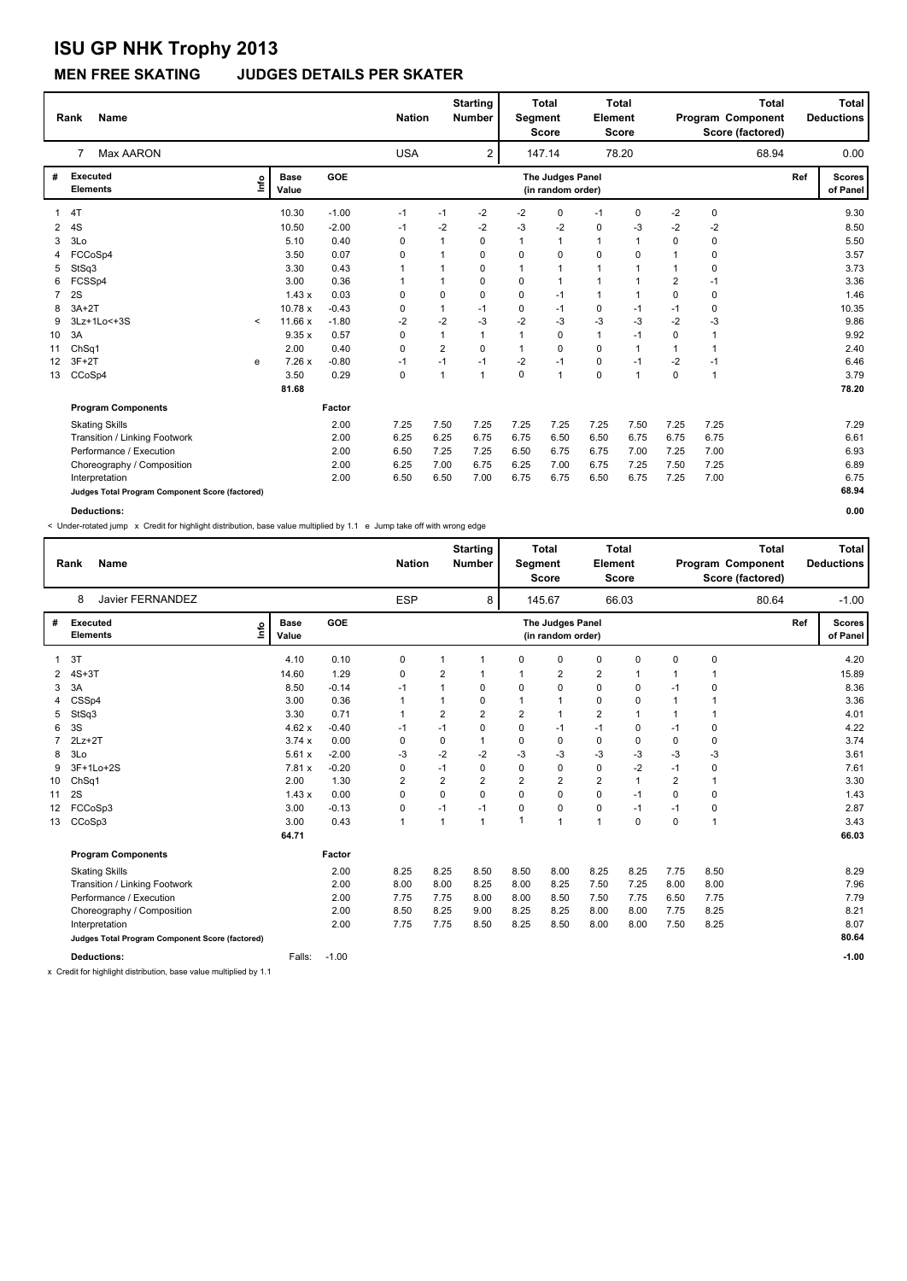### **MEN FREE SKATING JUDGES DETAILS PER SKATER**

|    | <b>Name</b><br>Rank                             |         |                      |         | <b>Nation</b> |                | <b>Starting</b><br><b>Number</b> | Segment      | <b>Total</b><br><b>Score</b>          | <b>Element</b> | <b>Total</b><br><b>Score</b> |                | <b>Total</b><br>Program Component<br>Score (factored) |     | <b>Total</b><br><b>Deductions</b> |
|----|-------------------------------------------------|---------|----------------------|---------|---------------|----------------|----------------------------------|--------------|---------------------------------------|----------------|------------------------------|----------------|-------------------------------------------------------|-----|-----------------------------------|
|    | Max AARON<br>$\overline{7}$                     |         |                      |         | <b>USA</b>    |                | 2                                |              | 147.14                                |                | 78.20                        |                | 68.94                                                 |     | 0.00                              |
| #  | <b>Executed</b><br><b>Elements</b>              | lnfo    | <b>Base</b><br>Value | GOE     |               |                |                                  |              | The Judges Panel<br>(in random order) |                |                              |                |                                                       | Ref | <b>Scores</b><br>of Panel         |
|    | 4T                                              |         | 10.30                | $-1.00$ | -1            | $-1$           | $-2$                             | $-2$         | 0                                     | $-1$           | 0                            | $-2$           | 0                                                     |     | 9.30                              |
| 2  | 4S                                              |         | 10.50                | $-2.00$ | -1            | $-2$           | $-2$                             | -3           | $-2$                                  | 0              | -3                           | $-2$           | $-2$                                                  |     | 8.50                              |
| 3  | 3Lo                                             |         | 5.10                 | 0.40    | 0             | 1              | 0                                | 1            | 1                                     | 1              | $\mathbf 1$                  | 0              | 0                                                     |     | 5.50                              |
|    | FCCoSp4                                         |         | 3.50                 | 0.07    | 0             | 1              | 0                                | $\Omega$     | $\Omega$                              | 0              | $\Omega$                     | 1              | $\Omega$                                              |     | 3.57                              |
| 5  | StSq3                                           |         | 3.30                 | 0.43    |               | 1              | 0                                |              | 1                                     |                |                              |                | 0                                                     |     | 3.73                              |
| 6  | FCSSp4                                          |         | 3.00                 | 0.36    |               | 1              | $\Omega$                         | $\Omega$     | 1                                     | 1              |                              | $\overline{2}$ | $-1$                                                  |     | 3.36                              |
| 7  | 2S                                              |         | 1.43x                | 0.03    | 0             | $\Omega$       | 0                                | $\Omega$     | $-1$                                  | 1              | 1                            | 0              | 0                                                     |     | 1.46                              |
| 8  | $3A+2T$                                         |         | 10.78 x              | $-0.43$ | 0             | 1              | $-1$                             | 0            | $-1$                                  | 0              | $-1$                         | $-1$           | 0                                                     |     | 10.35                             |
| 9  | 3Lz+1Lo<+3S                                     | $\,<\,$ | 11.66 x              | $-1.80$ | $-2$          | $-2$           | $-3$                             | $-2$         | $-3$                                  | $-3$           | $-3$                         | $-2$           | -3                                                    |     | 9.86                              |
| 10 | 3A                                              |         | 9.35x                | 0.57    | 0             | 1              | $\overline{1}$                   | 1            | $\mathbf 0$                           | $\mathbf{1}$   | $-1$                         | $\Omega$       | 1                                                     |     | 9.92                              |
| 11 | ChSq1                                           |         | 2.00                 | 0.40    | 0             | $\overline{2}$ | $\Omega$                         | $\mathbf{1}$ | $\Omega$                              | 0              | 1                            | 1              | 1                                                     |     | 2.40                              |
| 12 | $3F+2T$                                         | е       | 7.26x                | $-0.80$ | $-1$          | $-1$           | $-1$                             | $-2$         | $-1$                                  | 0              | $-1$                         | $-2$           | $-1$                                                  |     | 6.46                              |
| 13 | CCoSp4                                          |         | 3.50                 | 0.29    | 0             | 1              | $\overline{1}$                   | $\mathbf 0$  | $\overline{1}$                        | 0              | 1                            | 0              | 1                                                     |     | 3.79                              |
|    |                                                 |         | 81.68                |         |               |                |                                  |              |                                       |                |                              |                |                                                       |     | 78.20                             |
|    | <b>Program Components</b>                       |         |                      | Factor  |               |                |                                  |              |                                       |                |                              |                |                                                       |     |                                   |
|    | <b>Skating Skills</b>                           |         |                      | 2.00    | 7.25          | 7.50           | 7.25                             | 7.25         | 7.25                                  | 7.25           | 7.50                         | 7.25           | 7.25                                                  |     | 7.29                              |
|    | Transition / Linking Footwork                   |         |                      | 2.00    | 6.25          | 6.25           | 6.75                             | 6.75         | 6.50                                  | 6.50           | 6.75                         | 6.75           | 6.75                                                  |     | 6.61                              |
|    | Performance / Execution                         |         |                      | 2.00    | 6.50          | 7.25           | 7.25                             | 6.50         | 6.75                                  | 6.75           | 7.00                         | 7.25           | 7.00                                                  |     | 6.93                              |
|    | Choreography / Composition                      |         |                      | 2.00    | 6.25          | 7.00           | 6.75                             | 6.25         | 7.00                                  | 6.75           | 7.25                         | 7.50           | 7.25                                                  |     | 6.89                              |
|    | Interpretation                                  |         |                      | 2.00    | 6.50          | 6.50           | 7.00                             | 6.75         | 6.75                                  | 6.50           | 6.75                         | 7.25           | 7.00                                                  |     | 6.75                              |
|    | Judges Total Program Component Score (factored) |         |                      |         |               |                |                                  |              |                                       |                |                              |                |                                                       |     | 68.94                             |
|    | <b>Deductions:</b>                              |         |                      |         |               |                |                                  |              |                                       |                |                              |                |                                                       |     | 0.00                              |

< Under-rotated jump x Credit for highlight distribution, base value multiplied by 1.1 e Jump take off with wrong edge

|    | <b>Name</b><br>Rank                             |                              |         | <b>Nation</b> |                | <b>Starting</b><br><b>Number</b> | <b>Total</b><br>Segment<br><b>Score</b> |                                       | Element        | <b>Total</b><br><b>Score</b> |                | <b>Total</b><br>Program Component<br>Score (factored) |     | <b>Total</b><br><b>Deductions</b> |
|----|-------------------------------------------------|------------------------------|---------|---------------|----------------|----------------------------------|-----------------------------------------|---------------------------------------|----------------|------------------------------|----------------|-------------------------------------------------------|-----|-----------------------------------|
|    | Javier FERNANDEZ<br>8                           |                              |         | <b>ESP</b>    |                | 8                                |                                         | 145.67                                |                | 66.03                        |                | 80.64                                                 |     | $-1.00$                           |
| #  | <b>Executed</b><br><b>Elements</b>              | <b>Base</b><br>١nfo<br>Value | GOE     |               |                |                                  |                                         | The Judges Panel<br>(in random order) |                |                              |                |                                                       | Ref | <b>Scores</b><br>of Panel         |
|    | 3T                                              | 4.10                         | 0.10    | 0             |                | -1                               | $\Omega$                                | $\Omega$                              | $\mathbf 0$    | 0                            | 0              | 0                                                     |     | 4.20                              |
| 2  | $4S+3T$                                         | 14.60                        | 1.29    | 0             | $\overline{2}$ | 1                                |                                         | 2                                     | $\overline{2}$ |                              | 1              |                                                       |     | 15.89                             |
| 3  | 3A                                              | 8.50                         | $-0.14$ | $-1$          | 1              | 0                                | $\mathbf 0$                             | 0                                     | $\mathbf 0$    | 0                            | $-1$           | 0                                                     |     | 8.36                              |
|    | CSSp4                                           | 3.00                         | 0.36    | -1            | 1              | 0                                |                                         | 1                                     | 0              | 0                            | 1              |                                                       |     | 3.36                              |
| 5  | StSq3                                           | 3.30                         | 0.71    |               | 2              | $\overline{2}$                   | $\overline{\mathbf{c}}$                 | $\overline{1}$                        | 2              |                              |                |                                                       |     | 4.01                              |
| 6  | 3S                                              | 4.62x                        | $-0.40$ | $-1$          | $-1$           | $\mathbf 0$                      | $\Omega$                                | $-1$                                  | $-1$           | 0                            | $-1$           | 0                                                     |     | 4.22                              |
|    | $2Lz+2T$                                        | 3.74x                        | 0.00    | 0             | 0              | $\mathbf{1}$                     | $\Omega$                                | 0                                     | 0              | 0                            | $\Omega$       | 0                                                     |     | 3.74                              |
| 8  | 3Lo                                             | 5.61x                        | $-2.00$ | -3            | $-2$           | $-2$                             | $-3$                                    | $-3$                                  | $-3$           | $-3$                         | $-3$           | $-3$                                                  |     | 3.61                              |
| 9  | 3F+1Lo+2S                                       | 7.81x                        | $-0.20$ | 0             | $-1$           | 0                                | $\Omega$                                | 0                                     | 0              | $-2$                         | $-1$           | 0                                                     |     | 7.61                              |
| 10 | Ch <sub>Sq1</sub>                               | 2.00                         | 1.30    | 2             | $\overline{2}$ | $\overline{2}$                   | 2                                       | $\overline{2}$                        | 2              | 1                            | $\overline{2}$ | 1                                                     |     | 3.30                              |
| 11 | 2S                                              | 1.43x                        | 0.00    | 0             | 0              | $\Omega$                         | $\Omega$                                | 0                                     | 0              | $-1$                         | $\Omega$       | 0                                                     |     | 1.43                              |
| 12 | FCCoSp3                                         | 3.00                         | $-0.13$ | 0             | $-1$           | $-1$                             | $\Omega$                                | 0                                     | 0              | $-1$                         | $-1$           | 0                                                     |     | 2.87                              |
| 13 | CCoSp3                                          | 3.00                         | 0.43    | 1             | 1              | $\mathbf{1}$                     | 1                                       | $\overline{1}$                        | $\overline{1}$ | $\mathbf 0$                  | $\mathbf 0$    | 1                                                     |     | 3.43                              |
|    |                                                 | 64.71                        |         |               |                |                                  |                                         |                                       |                |                              |                |                                                       |     | 66.03                             |
|    | <b>Program Components</b>                       |                              | Factor  |               |                |                                  |                                         |                                       |                |                              |                |                                                       |     |                                   |
|    | <b>Skating Skills</b>                           |                              | 2.00    | 8.25          | 8.25           | 8.50                             | 8.50                                    | 8.00                                  | 8.25           | 8.25                         | 7.75           | 8.50                                                  |     | 8.29                              |
|    | Transition / Linking Footwork                   |                              | 2.00    | 8.00          | 8.00           | 8.25                             | 8.00                                    | 8.25                                  | 7.50           | 7.25                         | 8.00           | 8.00                                                  |     | 7.96                              |
|    | Performance / Execution                         |                              | 2.00    | 7.75          | 7.75           | 8.00                             | 8.00                                    | 8.50                                  | 7.50           | 7.75                         | 6.50           | 7.75                                                  |     | 7.79                              |
|    | Choreography / Composition                      |                              | 2.00    | 8.50          | 8.25           | 9.00                             | 8.25                                    | 8.25                                  | 8.00           | 8.00                         | 7.75           | 8.25                                                  |     | 8.21                              |
|    | Interpretation                                  |                              | 2.00    | 7.75          | 7.75           | 8.50                             | 8.25                                    | 8.50                                  | 8.00           | 8.00                         | 7.50           | 8.25                                                  |     | 8.07                              |
|    | Judges Total Program Component Score (factored) |                              |         |               |                |                                  |                                         |                                       |                |                              |                |                                                       |     | 80.64                             |
|    | <b>Deductions:</b>                              | Falls:                       | $-1.00$ |               |                |                                  |                                         |                                       |                |                              |                |                                                       |     | $-1.00$                           |

x Credit for highlight distribution, base value multiplied by 1.1